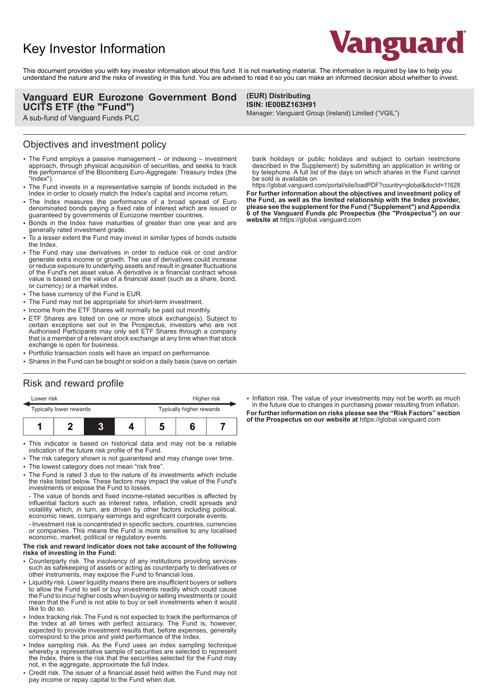# Key Investor Information



This document provides you with key investor information about this fund. It is not marketing material. The information is required by law to help you understand the nature and the risks of investing in this fund. You are advised to read it so you can make an informed decision about whether to invest.

> **(EUR) Distributing ISIN: IE00BZ163H91**

### **Vanguard EUR Eurozone Government Bond UCITS ETF (the "Fund")**

A sub-fund of Vanguard Funds PLC

### Objectives and investment policy

- The Fund employs a passive management or indexing investment approach, through physical acquisition of securities, and seeks to track the performance of the Bloomberg Euro-Aggregate: Treasury Index (the "Index").
- 2 The Fund invests in a representative sample of bonds included in the Index in order to closely match the Index's capital and income return.
- 2 The Index measures the performance of a broad spread of Euro denominated bonds paying a fixed rate of interest which are issued or guaranteed by governments of Eurozone member countries.
- Bonds in the Index have maturities of greater than one year and are generally rated investment grade.
- To a lesser extent the Fund may invest in similar types of bonds outside the Index.
- The Fund may use derivatives in order to reduce risk or cost and/or generate extra income or growth. The use of derivatives could increase or reduce exposure to underlying assets and result in greater fluctuations of the Fund's net asset value. A derivative is a financial contract whose value is based on the value of a financial asset (such as a share, bond, or currency) or a market index.
- The base currency of the Fund is EUR.
- The Fund may not be appropriate for short-term investment.
- Income from the ETF Shares will normally be paid out monthly.
- ETF Shares are listed on one or more stock exchange(s). Subject to certain exceptions set out in the Prospectus, investors who are not Authorised Participants may only sell ETF Shares through a company that is a member of a relevant stock exchange at any time when that stock exchange is open for business.
- Portfolio transaction costs will have an impact on performance.
- Shares in the Fund can be bought or sold on a daily basis (save on certain

# Risk and reward profile

| Lower risk              |  |  |  | Higher risk              |  |  |  |
|-------------------------|--|--|--|--------------------------|--|--|--|
| Typically lower rewards |  |  |  | Typically higher rewards |  |  |  |
|                         |  |  |  |                          |  |  |  |

- This indicator is based on historical data and may not be a reliable indication of the future risk profile of the Fund.
- The risk category shown is not guaranteed and may change over time.
- The lowest category does not mean "risk free".
- 2 The Fund is rated 3 due to the nature of its investments which include the risks listed below. These factors may impact the value of the Fund's investments or expose the Fund to losses.

- The value of bonds and fixed income-related securities is affected by influential factors such as interest rates, inflation, credit spreads and volatility which, in turn, are driven by other factors including political, economic news, company earnings and significant corporate events.

- Investment risk is concentrated in specific sectors, countries, currencies or companies. This means the Fund is more sensitive to any localised economic, market, political or regulatory events.

#### **The risk and reward indicator does not take account of the following risks of investing in the Fund:**

- Counterparty risk. The insolvency of any institutions providing services such as safekeeping of assets or acting as counterparty to derivatives or other instruments, may expose the Fund to financial loss.
- Liquidity risk. Lower liquidity means there are insufficient buyers or sellers to allow the Fund to sell or buy investments readily which could cause the Fund to incur higher costs when buying or selling investments or could mean that the Fund is not able to buy or sell investments when it would like to do so.
- Index tracking risk. The Fund is not expected to track the performance of the Index at all times with perfect accuracy. The Fund is, however, expected to provide investment results that, before expenses, generally correspond to the price and yield performance of the Index.
- Index sampling risk. As the Fund uses an index sampling technique whereby a representative sample of securities are selected to represent the Index, there is the risk that the securities selected for the Fund may not, in the aggregate, approximate the full Index.
- Credit risk. The issuer of a financial asset held within the Fund may not pay income or repay capital to the Fund when due.

bank holidays or public holidays and subject to certain restrictions described in the Supplement) by submitting an application in writing or by telephone. A full list of the days on which shares in the Fund cannot be sold is available on

Manager: Vanguard Group (Ireland) Limited ("VGIL")

https://global.vanguard.com/portal/site/loadPDF?country=global&docId=11628 **For further information about the objectives and investment policy of the Fund, as well as the limited relationship with the Index provider, please see the supplement for the Fund ("Supplement") and Appendix 6 of the Vanguard Funds plc Prospectus (the "Prospectus") on our website at** https://global.vanguard.com

• Inflation risk. The value of your investments may not be worth as much in the future due to changes in purchasing power resulting from inflation. **For further information on risks please see the "Risk Factors" section of the Prospectus on our website at** https://global.vanguard.com